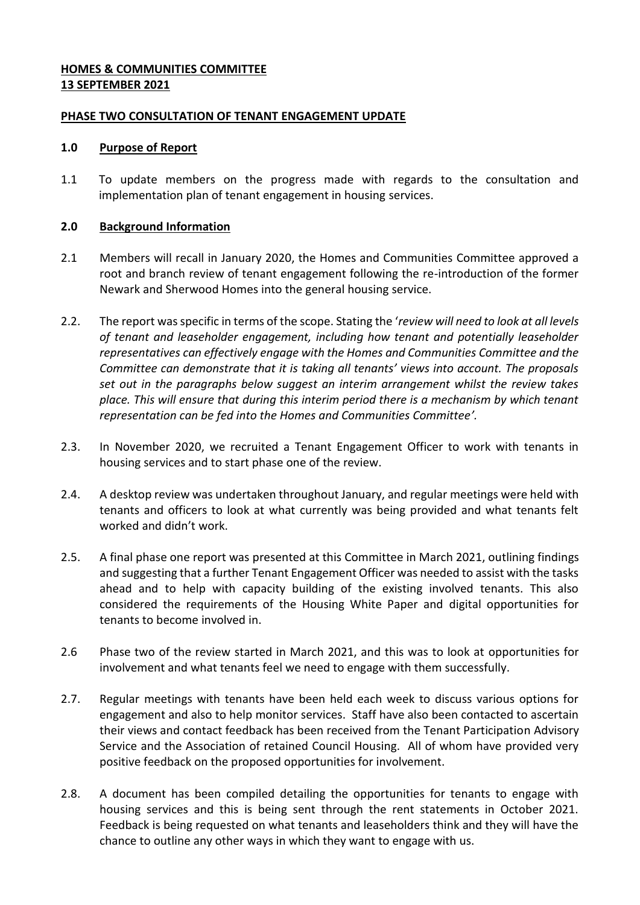### **HOMES & COMMUNITIES COMMITTEE 13 SEPTEMBER 2021**

### **PHASE TWO CONSULTATION OF TENANT ENGAGEMENT UPDATE**

### **1.0 Purpose of Report**

1.1 To update members on the progress made with regards to the consultation and implementation plan of tenant engagement in housing services.

### **2.0 Background Information**

- 2.1 Members will recall in January 2020, the Homes and Communities Committee approved a root and branch review of tenant engagement following the re-introduction of the former Newark and Sherwood Homes into the general housing service.
- 2.2. The report was specific in terms of the scope. Stating the '*review will need to look at all levels of tenant and leaseholder engagement, including how tenant and potentially leaseholder representatives can effectively engage with the Homes and Communities Committee and the Committee can demonstrate that it is taking all tenants' views into account. The proposals set out in the paragraphs below suggest an interim arrangement whilst the review takes place. This will ensure that during this interim period there is a mechanism by which tenant representation can be fed into the Homes and Communities Committee'.*
- 2.3. In November 2020, we recruited a Tenant Engagement Officer to work with tenants in housing services and to start phase one of the review.
- 2.4. A desktop review was undertaken throughout January, and regular meetings were held with tenants and officers to look at what currently was being provided and what tenants felt worked and didn't work.
- 2.5. A final phase one report was presented at this Committee in March 2021, outlining findings and suggesting that a further Tenant Engagement Officer was needed to assist with the tasks ahead and to help with capacity building of the existing involved tenants. This also considered the requirements of the Housing White Paper and digital opportunities for tenants to become involved in.
- 2.6 Phase two of the review started in March 2021, and this was to look at opportunities for involvement and what tenants feel we need to engage with them successfully.
- 2.7. Regular meetings with tenants have been held each week to discuss various options for engagement and also to help monitor services. Staff have also been contacted to ascertain their views and contact feedback has been received from the Tenant Participation Advisory Service and the Association of retained Council Housing. All of whom have provided very positive feedback on the proposed opportunities for involvement.
- 2.8. A document has been compiled detailing the opportunities for tenants to engage with housing services and this is being sent through the rent statements in October 2021. Feedback is being requested on what tenants and leaseholders think and they will have the chance to outline any other ways in which they want to engage with us.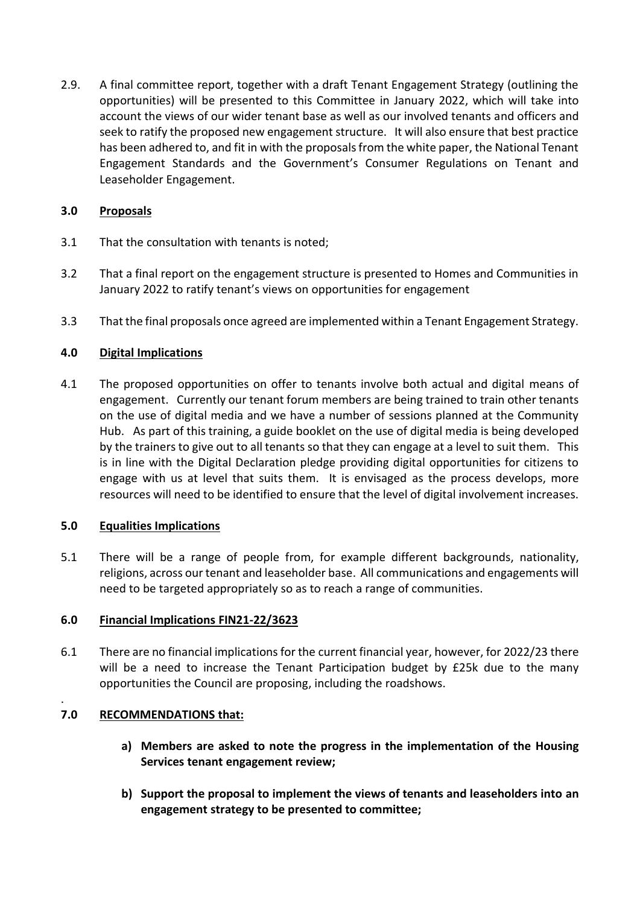2.9. A final committee report, together with a draft Tenant Engagement Strategy (outlining the opportunities) will be presented to this Committee in January 2022, which will take into account the views of our wider tenant base as well as our involved tenants and officers and seek to ratify the proposed new engagement structure. It will also ensure that best practice has been adhered to, and fit in with the proposals from the white paper, the National Tenant Engagement Standards and the Government's Consumer Regulations on Tenant and Leaseholder Engagement.

# **3.0 Proposals**

- 3.1 That the consultation with tenants is noted;
- 3.2 That a final report on the engagement structure is presented to Homes and Communities in January 2022 to ratify tenant's views on opportunities for engagement
- 3.3 That the final proposals once agreed are implemented within a Tenant Engagement Strategy.

# **4.0 Digital Implications**

4.1 The proposed opportunities on offer to tenants involve both actual and digital means of engagement. Currently our tenant forum members are being trained to train other tenants on the use of digital media and we have a number of sessions planned at the Community Hub. As part of this training, a guide booklet on the use of digital media is being developed by the trainers to give out to all tenants so that they can engage at a level to suit them. This is in line with the Digital Declaration pledge providing digital opportunities for citizens to engage with us at level that suits them. It is envisaged as the process develops, more resources will need to be identified to ensure that the level of digital involvement increases.

# **5.0 Equalities Implications**

5.1 There will be a range of people from, for example different backgrounds, nationality, religions, across our tenant and leaseholder base. All communications and engagements will need to be targeted appropriately so as to reach a range of communities.

# **6.0 Financial Implications FIN21-22/3623**

6.1 There are no financial implications for the current financial year, however, for 2022/23 there will be a need to increase the Tenant Participation budget by £25k due to the many opportunities the Council are proposing, including the roadshows.

### . **7.0 RECOMMENDATIONS that:**

- **a) Members are asked to note the progress in the implementation of the Housing Services tenant engagement review;**
- **b) Support the proposal to implement the views of tenants and leaseholders into an engagement strategy to be presented to committee;**